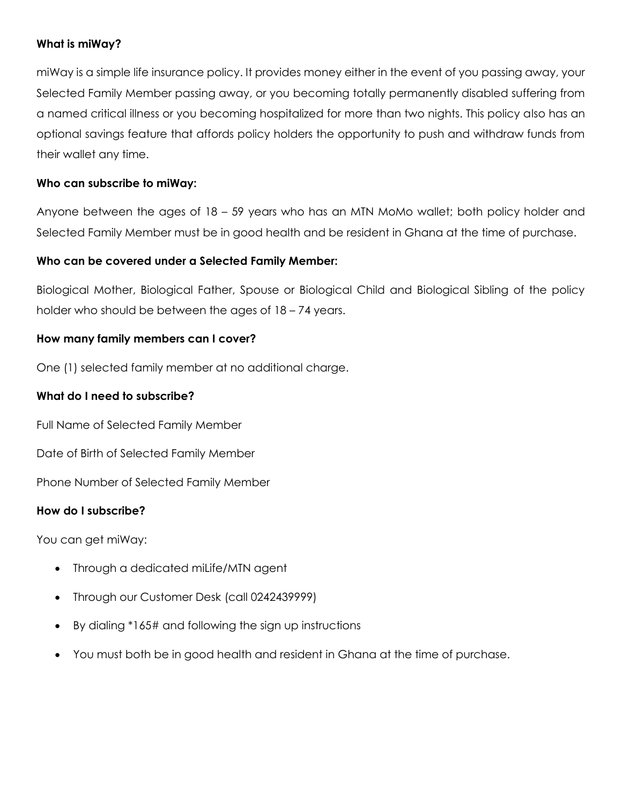# **What is miWay?**

miWay is a simple life insurance policy. It provides money either in the event of you passing away, your Selected Family Member passing away, or you becoming totally permanently disabled suffering from a named critical illness or you becoming hospitalized for more than two nights. This policy also has an optional savings feature that affords policy holders the opportunity to push and withdraw funds from their wallet any time.

# **Who can subscribe to miWay:**

Anyone between the ages of 18 – 59 years who has an MTN MoMo wallet; both policy holder and Selected Family Member must be in good health and be resident in Ghana at the time of purchase.

#### **Who can be covered under a Selected Family Member:**

Biological Mother, Biological Father, Spouse or Biological Child and Biological Sibling of the policy holder who should be between the ages of  $18 - 74$  years.

#### **How many family members can I cover?**

One (1) selected family member at no additional charge.

## **What do I need to subscribe?**

Full Name of Selected Family Member

Date of Birth of Selected Family Member

Phone Number of Selected Family Member

#### **How do I subscribe?**

You can get miWay:

- Through a dedicated miLife/MTN agent
- Through our Customer Desk (call 0242439999)
- By dialing \*165# and following the sign up instructions
- You must both be in good health and resident in Ghana at the time of purchase.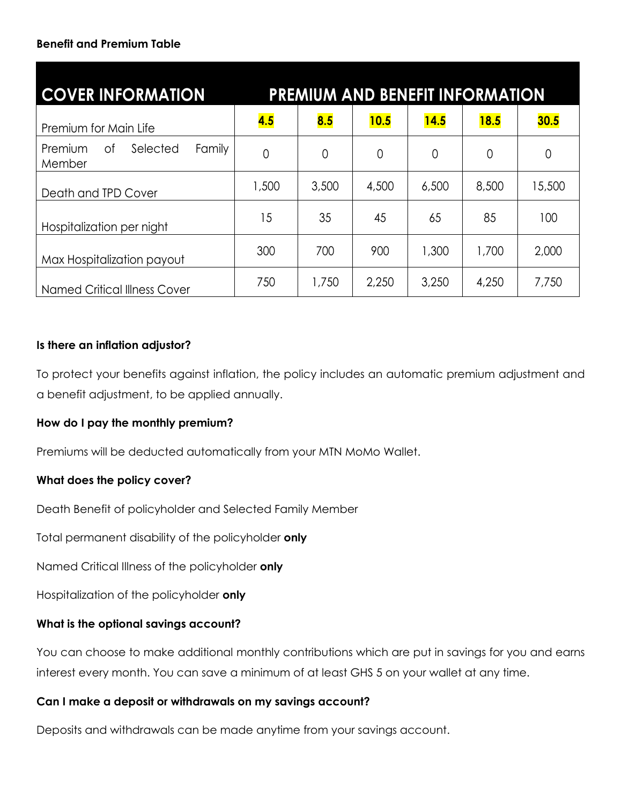# **Benefit and Premium Table**

| <b>COVER INFORMATION</b>                      |                |       |       |                | <b>PREMIUM AND BENEFIT INFORMATION</b> |        |
|-----------------------------------------------|----------------|-------|-------|----------------|----------------------------------------|--------|
| Premium for Main Life                         | 4.5            | 8.5   | 10.5  | 14.5           | 18.5                                   | 30.5   |
| Family<br>0f<br>Selected<br>Premium<br>Member | $\overline{0}$ | 0     | 0     | $\overline{0}$ | $\overline{0}$                         | 0      |
| Death and TPD Cover                           | 1,500          | 3,500 | 4,500 | 6,500          | 8,500                                  | 15,500 |
| Hospitalization per night                     | 15             | 35    | 45    | 65             | 85                                     | 100    |
| Max Hospitalization payout                    | 300            | 700   | 900   | 1,300          | 1,700                                  | 2,000  |
| <b>Named Critical Illness Cover</b>           | 750            | 1,750 | 2,250 | 3,250          | 4,250                                  | 7,750  |

# **Is there an inflation adjustor?**

To protect your benefits against inflation, the policy includes an automatic premium adjustment and a benefit adjustment, to be applied annually.

#### **How do I pay the monthly premium?**

Premiums will be deducted automatically from your MTN MoMo Wallet.

#### **What does the policy cover?**

Death Benefit of policyholder and Selected Family Member

Total permanent disability of the policyholder **only**

Named Critical Illness of the policyholder **only**

Hospitalization of the policyholder **only**

#### **What is the optional savings account?**

You can choose to make additional monthly contributions which are put in savings for you and earns interest every month. You can save a minimum of at least GHS 5 on your wallet at any time.

#### **Can I make a deposit or withdrawals on my savings account?**

Deposits and withdrawals can be made anytime from your savings account.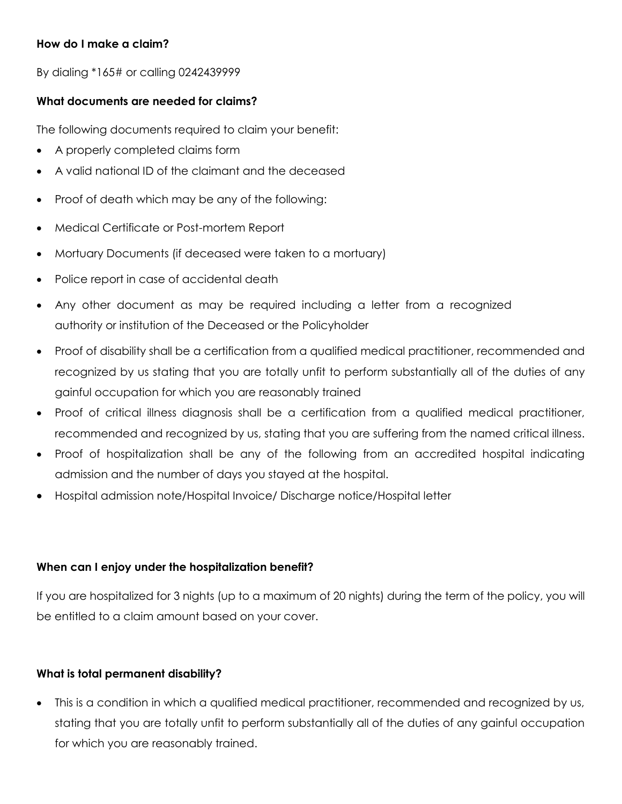# **How do I make a claim?**

By dialing \*165# or calling 0242439999

# **What documents are needed for claims?**

The following documents required to claim your benefit:

- A properly completed claims form
- A valid national ID of the claimant and the deceased
- Proof of death which may be any of the following:
- Medical Certificate or Post-mortem Report
- Mortuary Documents (if deceased were taken to a mortuary)
- Police report in case of accidental death
- Any other document as may be required including a letter from a recognized authority or institution of the Deceased or the Policyholder
- Proof of disability shall be a certification from a qualified medical practitioner, recommended and recognized by us stating that you are totally unfit to perform substantially all of the duties of any gainful occupation for which you are reasonably trained
- Proof of critical illness diagnosis shall be a certification from a qualified medical practitioner, recommended and recognized by us, stating that you are suffering from the named critical illness.
- Proof of hospitalization shall be any of the following from an accredited hospital indicating admission and the number of days you stayed at the hospital.
- Hospital admission note/Hospital Invoice/ Discharge notice/Hospital letter

# **When can I enjoy under the hospitalization benefit?**

If you are hospitalized for 3 nights (up to a maximum of 20 nights) during the term of the policy, you will be entitled to a claim amount based on your cover.

#### **What is total permanent disability?**

• This is a condition in which a qualified medical practitioner, recommended and recognized by us, stating that you are totally unfit to perform substantially all of the duties of any gainful occupation for which you are reasonably trained.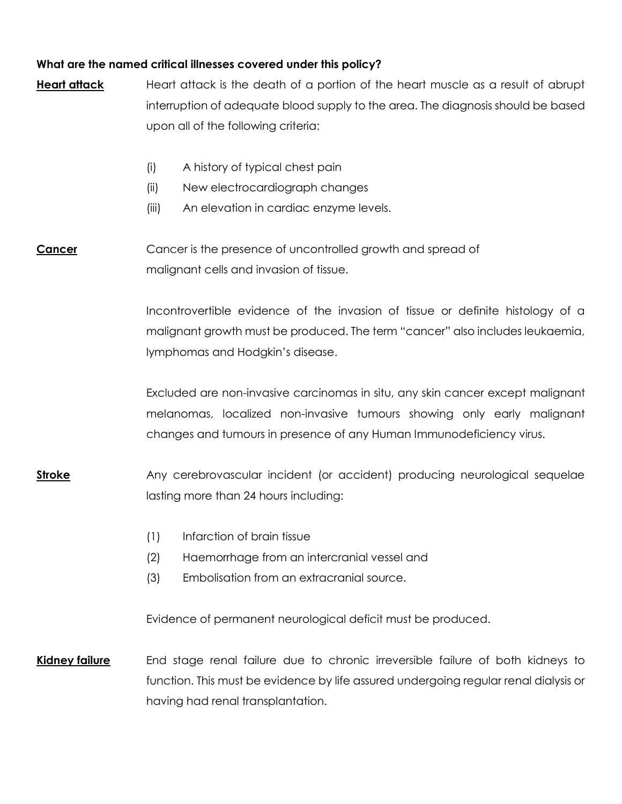# **What are the named critical illnesses covered under this policy?**

| <b>Heart attack</b>   | Heart attack is the death of a portion of the heart muscle as a result of abrupt                                                                         |  |  |  |  |  |
|-----------------------|----------------------------------------------------------------------------------------------------------------------------------------------------------|--|--|--|--|--|
|                       | interruption of adequate blood supply to the area. The diagnosis should be based<br>upon all of the following criteria:                                  |  |  |  |  |  |
|                       |                                                                                                                                                          |  |  |  |  |  |
|                       | A history of typical chest pain<br>(i)                                                                                                                   |  |  |  |  |  |
|                       | New electrocardiograph changes<br>(ii)                                                                                                                   |  |  |  |  |  |
|                       | (iii)<br>An elevation in cardiac enzyme levels.                                                                                                          |  |  |  |  |  |
| Cancer                | Cancer is the presence of uncontrolled growth and spread of                                                                                              |  |  |  |  |  |
|                       | malignant cells and invasion of tissue.                                                                                                                  |  |  |  |  |  |
|                       | Incontrovertible evidence of the invasion of tissue or definite histology of a                                                                           |  |  |  |  |  |
|                       | malignant growth must be produced. The term "cancer" also includes leukaemia,                                                                            |  |  |  |  |  |
|                       | lymphomas and Hodgkin's disease.                                                                                                                         |  |  |  |  |  |
|                       | Excluded are non-invasive carcinomas in situ, any skin cancer except malignant<br>melanomas, localized non-invasive tumours showing only early malignant |  |  |  |  |  |
|                       |                                                                                                                                                          |  |  |  |  |  |
|                       | changes and tumours in presence of any Human Immunodeficiency virus.                                                                                     |  |  |  |  |  |
| <b>Stroke</b>         | Any cerebrovascular incident (or accident) producing neurological sequelae<br>lasting more than 24 hours including:                                      |  |  |  |  |  |
|                       |                                                                                                                                                          |  |  |  |  |  |
|                       | Infarction of brain tissue<br>(1)                                                                                                                        |  |  |  |  |  |
|                       | (2)<br>Haemorrhage from an intercranial vessel and                                                                                                       |  |  |  |  |  |
|                       | (3)<br>Embolisation from an extracranial source.                                                                                                         |  |  |  |  |  |
|                       | Evidence of permanent neurological deficit must be produced.                                                                                             |  |  |  |  |  |
| <b>Kidney failure</b> | End stage renal failure due to chronic irreversible failure of both kidneys to                                                                           |  |  |  |  |  |
|                       | function. This must be evidence by life assured undergoing regular renal dialysis or                                                                     |  |  |  |  |  |
|                       | having had renal transplantation.                                                                                                                        |  |  |  |  |  |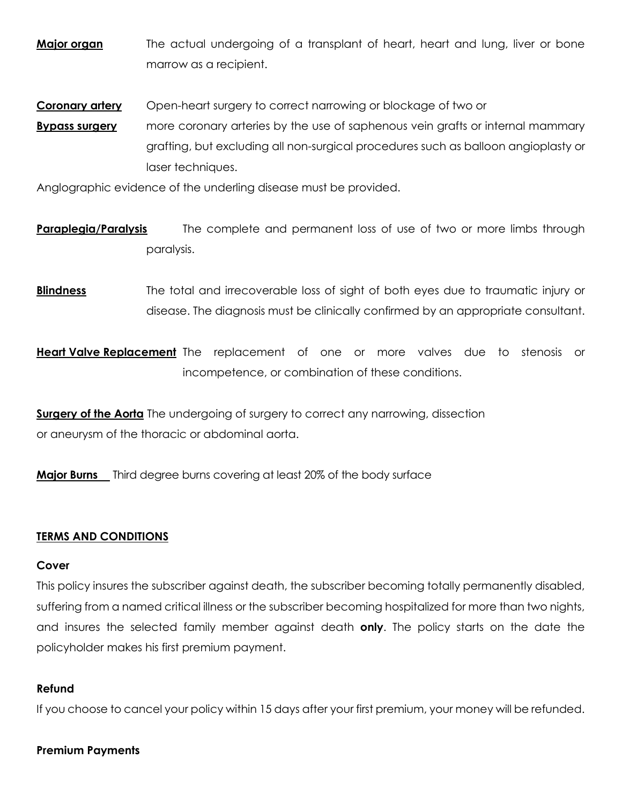**Major organ** The actual undergoing of a transplant of heart, heart and lung, liver or bone marrow as a recipient.

**Coronary artery** Open-heart surgery to correct narrowing or blockage of two or

**Bypass surgery** more coronary arteries by the use of saphenous vein grafts or internal mammary grafting, but excluding all non-surgical procedures such as balloon angioplasty or laser techniques.

Anglographic evidence of the underling disease must be provided.

- **Paraplegia/Paralysis** The complete and permanent loss of use of two or more limbs through paralysis.
- **Blindness** The total and irrecoverable loss of sight of both eyes due to traumatic injury or disease. The diagnosis must be clinically confirmed by an appropriate consultant.

**Heart Valve Replacement** The replacement of one or more valves due to stenosis or incompetence, or combination of these conditions.

**Surgery of the Aorta** The undergoing of surgery to correct any narrowing, dissection or aneurysm of the thoracic or abdominal aorta.

**Major Burns** Third degree burns covering at least 20% of the body surface

#### **TERMS AND CONDITIONS**

#### **Cover**

This policy insures the subscriber against death, the subscriber becoming totally permanently disabled, suffering from a named critical illness or the subscriber becoming hospitalized for more than two nights, and insures the selected family member against death **only**. The policy starts on the date the policyholder makes his first premium payment.

#### **Refund**

If you choose to cancel your policy within 15 days after your first premium, your money will be refunded.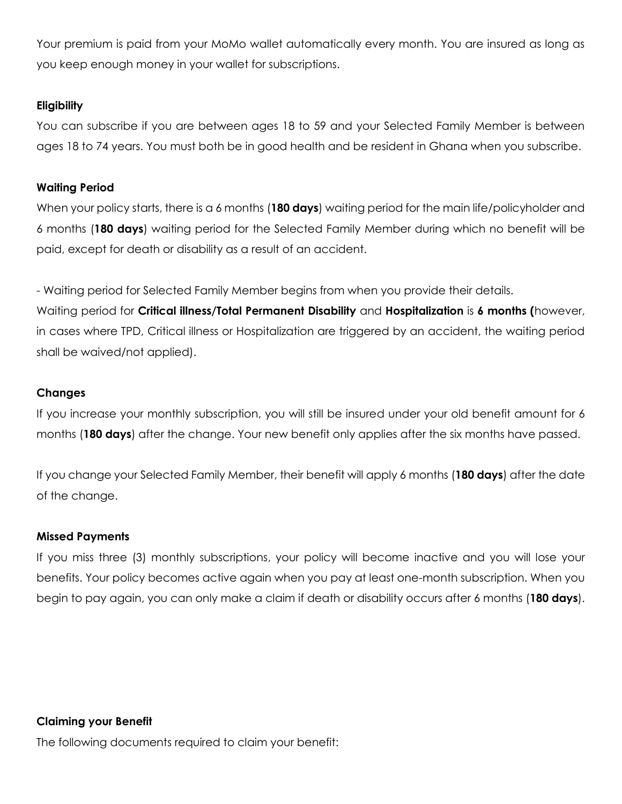Your premium is paid from your MoMo wallet automatically every month. You are insured as long as you keep enough money in your wallet for subscriptions.

## **Eligibility**

You can subscribe if you are between ages 18 to 59 and your Selected Family Member is between ages 18 to 74 years. You must both be in good health and be resident in Ghana when you subscribe.

## **Waiting Period**

When your policy starts, there is a 6 months (**180 days**) waiting period for the main life/policyholder and 6 months (**180 days**) waiting period for the Selected Family Member during which no benefit will be paid, except for death or disability as a result of an accident.

- Waiting period for Selected Family Member begins from when you provide their details.

Waiting period for **Critical illness/Total Permanent Disability** and **Hospitalization** is **6 months (**however, in cases where TPD, Critical illness or Hospitalization are triggered by an accident, the waiting period shall be waived/not applied).

# **Changes**

If you increase your monthly subscription, you will still be insured under your old benefit amount for 6 months (**180 days**) after the change. Your new benefit only applies after the six months have passed.

If you change your Selected Family Member, their benefit will apply 6 months (**180 days**) after the date of the change.

#### **Missed Payments**

If you miss three (3) monthly subscriptions, your policy will become inactive and you will lose your benefits. Your policy becomes active again when you pay at least one-month subscription. When you begin to pay again, you can only make a claim if death or disability occurs after 6 months (**180 days**).

**Claiming your Benefit**

The following documents required to claim your benefit: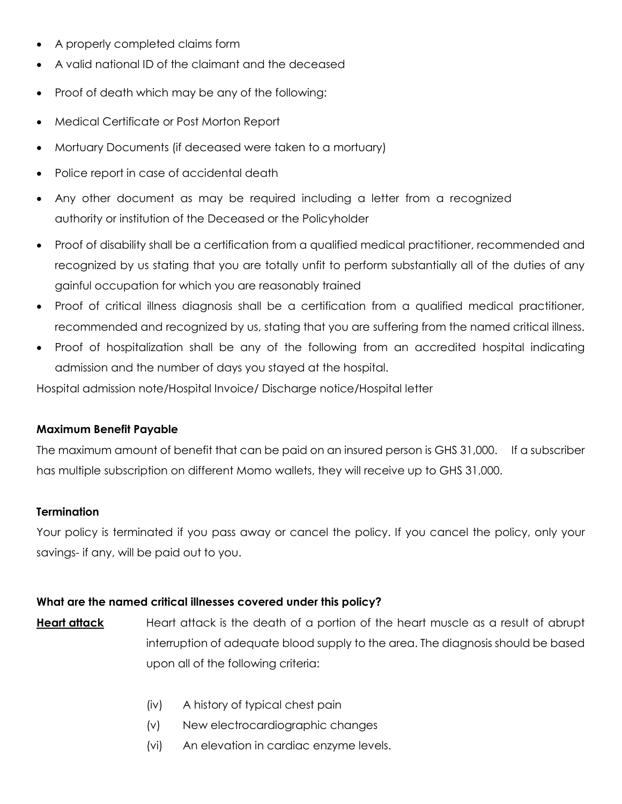- A properly completed claims form
- A valid national ID of the claimant and the deceased
- Proof of death which may be any of the following:
- Medical Certificate or Post Morton Report
- Mortuary Documents (if deceased were taken to a mortuary)
- Police report in case of accidental death
- Any other document as may be required including a letter from a recognized authority or institution of the Deceased or the Policyholder
- Proof of disability shall be a certification from a qualified medical practitioner, recommended and recognized by us stating that you are totally unfit to perform substantially all of the duties of any gainful occupation for which you are reasonably trained
- Proof of critical illness diagnosis shall be a certification from a qualified medical practitioner, recommended and recognized by us, stating that you are suffering from the named critical illness.
- Proof of hospitalization shall be any of the following from an accredited hospital indicating admission and the number of days you stayed at the hospital.

Hospital admission note/Hospital Invoice/ Discharge notice/Hospital letter

#### **Maximum Benefit Payable**

The maximum amount of benefit that can be paid on an insured person is GHS 31,000. If a subscriber has multiple subscription on different Momo wallets, they will receive up to GHS 31,000.

#### **Termination**

Your policy is terminated if you pass away or cancel the policy. If you cancel the policy, only your savings- if any, will be paid out to you.

#### **What are the named critical illnesses covered under this policy?**

- **Heart attack** Heart attack is the death of a portion of the heart muscle as a result of abrupt interruption of adequate blood supply to the area. The diagnosis should be based upon all of the following criteria:
	- (iv) A history of typical chest pain
	- (v) New electrocardiographic changes
	- (vi) An elevation in cardiac enzyme levels.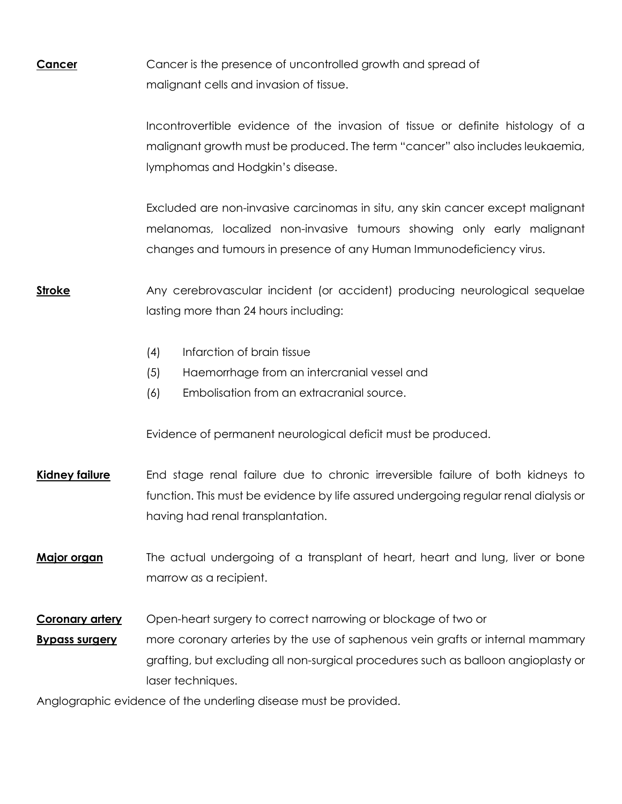**Cancer** Cancer is the presence of uncontrolled growth and spread of malignant cells and invasion of tissue.

> Incontrovertible evidence of the invasion of tissue or definite histology of a malignant growth must be produced. The term "cancer" also includes leukaemia, lymphomas and Hodgkin's disease.

> Excluded are non-invasive carcinomas in situ, any skin cancer except malignant melanomas, localized non-invasive tumours showing only early malignant changes and tumours in presence of any Human Immunodeficiency virus.

# **Stroke** Any cerebrovascular incident (or accident) producing neurological sequelae lasting more than 24 hours including:

- (4) Infarction of brain tissue
- (5) Haemorrhage from an intercranial vessel and
- (6) Embolisation from an extracranial source.

Evidence of permanent neurological deficit must be produced.

**Kidney failure** End stage renal failure due to chronic irreversible failure of both kidneys to function. This must be evidence by life assured undergoing regular renal dialysis or having had renal transplantation.

**Major organ** The actual undergoing of a transplant of heart, heart and lung, liver or bone marrow as a recipient.

**Coronary artery** Open-heart surgery to correct narrowing or blockage of two or

**Bypass surgery** more coronary arteries by the use of saphenous vein grafts or internal mammary grafting, but excluding all non-surgical procedures such as balloon angioplasty or laser techniques.

Anglographic evidence of the underling disease must be provided.